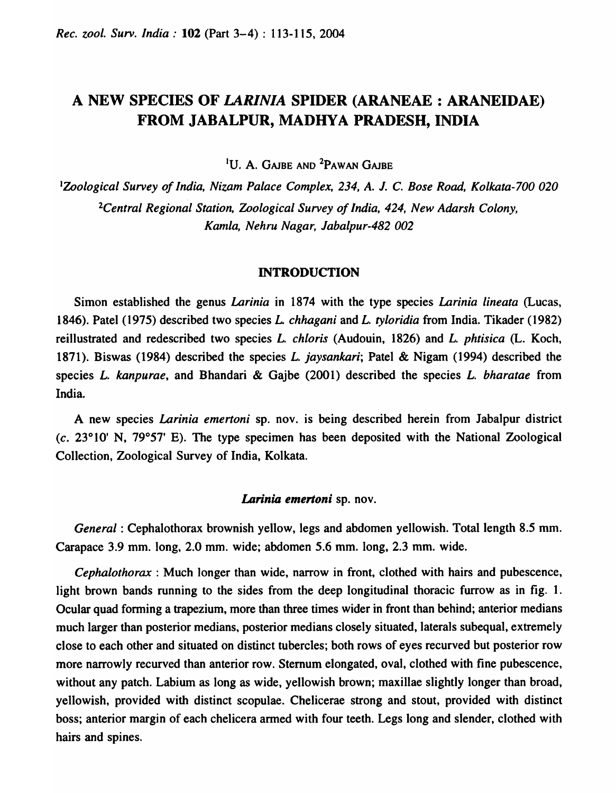# A NEW SPECIES OF *LARINIA* SPIDER (ARANEAE : ARANEIDAE) FROM JABALPUR, MADHYA PRADESH, INDIA

<sup>1</sup>U. A. GAJBE AND <sup>2</sup>PAWAN GAJBE

<sup>I</sup>*Zoological Survey of India, Nizam Palace Complex,* 234, *A. J.* C. *Bose Road, Kolkata-700 020 2Central Regional Station, Zoological Survey of India,* 424, *New Adarsh Colony, Kamla, Nehru Nagar, Jabalpur-4B2 002* 

#### INTRODUCTION

Simon established the genus *Larinia* in 1874 with the type species *Larinia lineata* (Lucas, 1846). Patel (1975) described two species *L chhagani* and L. *tyloridia* from India. Tikader (1982) reillustrated and redescribed two species L. *chloris* (Audouin, 1826) and L. *phtisica* (L. Koch, 1871). Biswas (1984) described the species L. *jaysankari;* Patel & Nigam (1994) described the species L. *kanpurae,* and Bhandari & Gajbe (2001) described the species L. *bharatae* from India.

A new species *Larinia emertoni* sp. nov. is being described herein from Jabalpur district (c. 23°10' N, *79°57'* E). The type specimen has been deposited with the National Zoological Collection, Zoological Survey of India, Kolkata.

#### *Larinia emertoni* sp. nov.

*General:* Cephalothorax brownish yellow, legs and abdomen yellowish. Total length 8.5 mm. Carapace 3.9 mm. long, 2.0 mm. wide; abdomen 5.6 mm. long, 2.3 mm. wide.

*Cephalothorax* : Much longer than wide, narrow in front, clothed with hairs and pubescence, light brown bands running to the sides from the deep longitudinal thoracic furrow as in fig. 1. Ocular quad forming a trapezium, more than three times wider in front than behind; anterior medians much larger than posterior medians, posterior medians closely situated, laterals subequal, extremely close to each other and situated on distinct tubercles; both rows of eyes recurved but posterior row more narrowly recurved than anterior row. Sternum elongated, oval, clothed with fine pubescence, without any patch. Labium as long as wide, yellowish brown; maxillae slightly longer than broad, yellowish, provided with distinct scopulae. Chelicerae strong and stout, provided with distinct boss; anterior margin of each chelicera armed with four teeth. Legs long and slender, clothed with hairs and spines.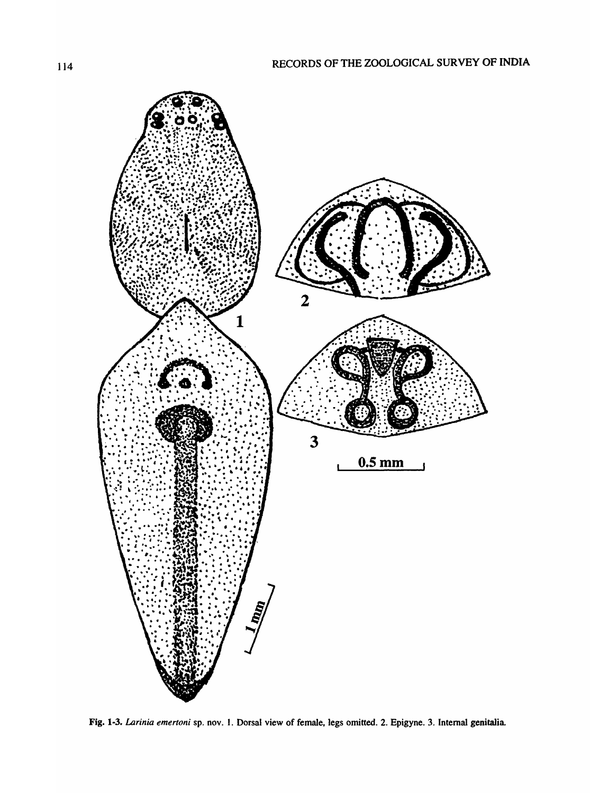

Fig. 1·3. *Larinia emertoni* sp. nov. I. Dorsal view of female, legs omitted. 2. Epigyne. 3. Internal genitalia